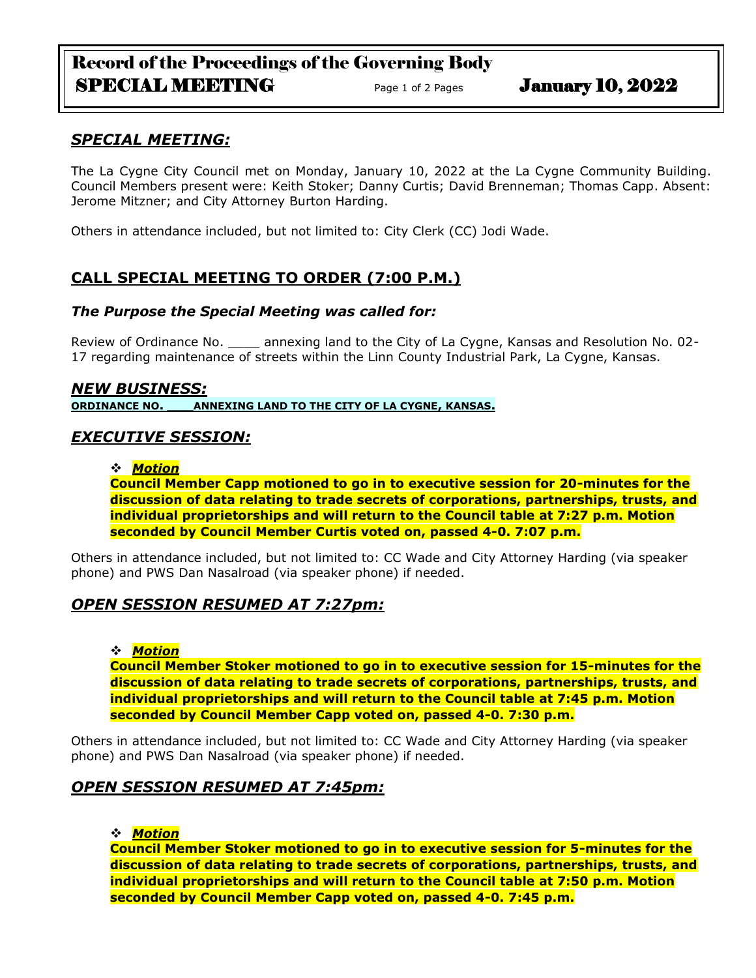# Record of the Proceedings of the Governing Body SPECIAL MEETING Page 1 of 2 Pages January 10, 2022

## *SPECIAL MEETING:*

The La Cygne City Council met on Monday, January 10, 2022 at the La Cygne Community Building. Council Members present were: Keith Stoker; Danny Curtis; David Brenneman; Thomas Capp. Absent: Jerome Mitzner; and City Attorney Burton Harding.

Others in attendance included, but not limited to: City Clerk (CC) Jodi Wade.

# **CALL SPECIAL MEETING TO ORDER (7:00 P.M.)**

### *The Purpose the Special Meeting was called for:*

Review of Ordinance No. \_\_\_\_ annexing land to the City of La Cygne, Kansas and Resolution No. 02- 17 regarding maintenance of streets within the Linn County Industrial Park, La Cygne, Kansas.

#### *NEW BUSINESS:*

**ORDINANCE NO. \_\_\_ANNEXING LAND TO THE CITY OF LA CYGNE, KANSAS.**

### *EXECUTIVE SESSION:*

#### ❖ *Motion*

**Council Member Capp motioned to go in to executive session for 20-minutes for the discussion of data relating to trade secrets of corporations, partnerships, trusts, and individual proprietorships and will return to the Council table at 7:27 p.m. Motion seconded by Council Member Curtis voted on, passed 4-0. 7:07 p.m.**

Others in attendance included, but not limited to: CC Wade and City Attorney Harding (via speaker phone) and PWS Dan Nasalroad (via speaker phone) if needed.

## *OPEN SESSION RESUMED AT 7:27pm:*

#### ❖ *Motion*

**Council Member Stoker motioned to go in to executive session for 15-minutes for the discussion of data relating to trade secrets of corporations, partnerships, trusts, and individual proprietorships and will return to the Council table at 7:45 p.m. Motion seconded by Council Member Capp voted on, passed 4-0. 7:30 p.m.**

Others in attendance included, but not limited to: CC Wade and City Attorney Harding (via speaker phone) and PWS Dan Nasalroad (via speaker phone) if needed.

## *OPEN SESSION RESUMED AT 7:45pm:*

#### ❖ *Motion*

**Council Member Stoker motioned to go in to executive session for 5-minutes for the discussion of data relating to trade secrets of corporations, partnerships, trusts, and individual proprietorships and will return to the Council table at 7:50 p.m. Motion seconded by Council Member Capp voted on, passed 4-0. 7:45 p.m.**